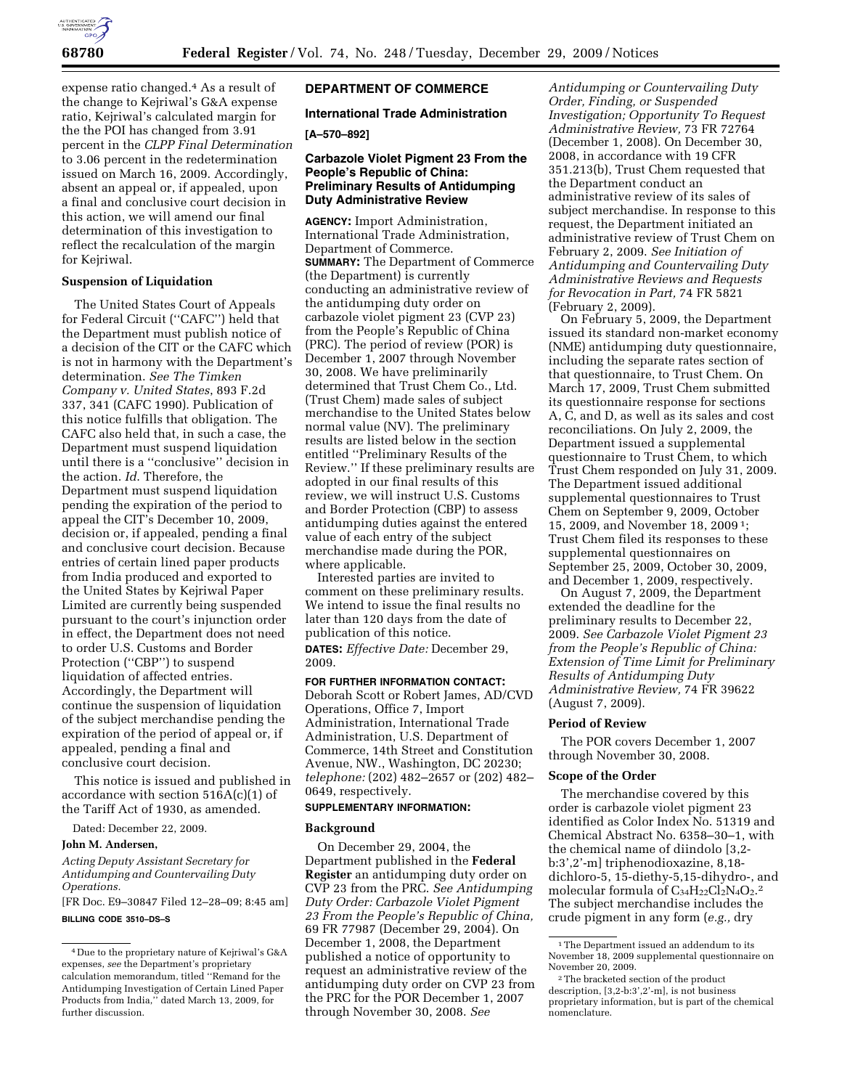

expense ratio changed.4 As a result of the change to Kejriwal's G&A expense ratio, Kejriwal's calculated margin for the the POI has changed from 3.91 percent in the *CLPP Final Determination*  to 3.06 percent in the redetermination issued on March 16, 2009. Accordingly, absent an appeal or, if appealed, upon a final and conclusive court decision in this action, we will amend our final determination of this investigation to reflect the recalculation of the margin for Kejriwal.

### **Suspension of Liquidation**

The United States Court of Appeals for Federal Circuit (''CAFC'') held that the Department must publish notice of a decision of the CIT or the CAFC which is not in harmony with the Department's determination. *See The Timken Company v. United States*, 893 F.2d 337, 341 (CAFC 1990). Publication of this notice fulfills that obligation. The CAFC also held that, in such a case, the Department must suspend liquidation until there is a ''conclusive'' decision in the action. *Id*. Therefore, the Department must suspend liquidation pending the expiration of the period to appeal the CIT's December 10, 2009, decision or, if appealed, pending a final and conclusive court decision. Because entries of certain lined paper products from India produced and exported to the United States by Kejriwal Paper Limited are currently being suspended pursuant to the court's injunction order in effect, the Department does not need to order U.S. Customs and Border Protection ("CBP") to suspend liquidation of affected entries. Accordingly, the Department will continue the suspension of liquidation of the subject merchandise pending the expiration of the period of appeal or, if appealed, pending a final and conclusive court decision.

This notice is issued and published in accordance with section 516A(c)(1) of the Tariff Act of 1930, as amended.

Dated: December 22, 2009.

#### **John M. Andersen,**

*Acting Deputy Assistant Secretary for Antidumping and Countervailing Duty Operations.* 

[FR Doc. E9–30847 Filed 12–28–09; 8:45 am] **BILLING CODE 3510–DS–S** 

## **DEPARTMENT OF COMMERCE**

## **International Trade Administration**

## **[A–570–892]**

## **Carbazole Violet Pigment 23 From the People's Republic of China: Preliminary Results of Antidumping Duty Administrative Review**

**AGENCY:** Import Administration, International Trade Administration, Department of Commerce. **SUMMARY:** The Department of Commerce (the Department) is currently conducting an administrative review of the antidumping duty order on carbazole violet pigment 23 (CVP 23) from the People's Republic of China (PRC). The period of review (POR) is December 1, 2007 through November 30, 2008. We have preliminarily determined that Trust Chem Co., Ltd. (Trust Chem) made sales of subject merchandise to the United States below normal value (NV). The preliminary results are listed below in the section entitled ''Preliminary Results of the Review.'' If these preliminary results are adopted in our final results of this review, we will instruct U.S. Customs and Border Protection (CBP) to assess antidumping duties against the entered value of each entry of the subject merchandise made during the POR, where applicable.

Interested parties are invited to comment on these preliminary results. We intend to issue the final results no later than 120 days from the date of publication of this notice. **DATES:** *Effective Date:* December 29,

2009.

**FOR FURTHER INFORMATION CONTACT:**  Deborah Scott or Robert James, AD/CVD Operations, Office 7, Import Administration, International Trade Administration, U.S. Department of Commerce, 14th Street and Constitution Avenue, NW., Washington, DC 20230; *telephone:* (202) 482–2657 or (202) 482– 0649, respectively.

## **SUPPLEMENTARY INFORMATION:**

## **Background**

On December 29, 2004, the Department published in the **Federal Register** an antidumping duty order on CVP 23 from the PRC. *See Antidumping Duty Order: Carbazole Violet Pigment 23 From the People's Republic of China,*  69 FR 77987 (December 29, 2004). On December 1, 2008, the Department published a notice of opportunity to request an administrative review of the antidumping duty order on CVP 23 from the PRC for the POR December 1, 2007 through November 30, 2008. *See* 

*Antidumping or Countervailing Duty Order, Finding, or Suspended Investigation; Opportunity To Request Administrative Review,* 73 FR 72764 (December 1, 2008). On December 30, 2008, in accordance with 19 CFR 351.213(b), Trust Chem requested that the Department conduct an administrative review of its sales of subject merchandise. In response to this request, the Department initiated an administrative review of Trust Chem on February 2, 2009. *See Initiation of Antidumping and Countervailing Duty Administrative Reviews and Requests for Revocation in Part,* 74 FR 5821 (February 2, 2009).

On February 5, 2009, the Department issued its standard non-market economy (NME) antidumping duty questionnaire, including the separate rates section of that questionnaire, to Trust Chem. On March 17, 2009, Trust Chem submitted its questionnaire response for sections A, C, and D, as well as its sales and cost reconciliations. On July 2, 2009, the Department issued a supplemental questionnaire to Trust Chem, to which Trust Chem responded on July 31, 2009. The Department issued additional supplemental questionnaires to Trust Chem on September 9, 2009, October 15, 2009, and November 18, 2009 1; Trust Chem filed its responses to these supplemental questionnaires on September 25, 2009, October 30, 2009, and December 1, 2009, respectively.

On August 7, 2009, the Department extended the deadline for the preliminary results to December 22, 2009. *See Carbazole Violet Pigment 23 from the People's Republic of China: Extension of Time Limit for Preliminary Results of Antidumping Duty Administrative Review,* 74 FR 39622 (August 7, 2009).

### **Period of Review**

The POR covers December 1, 2007 through November 30, 2008.

#### **Scope of the Order**

The merchandise covered by this order is carbazole violet pigment 23 identified as Color Index No. 51319 and Chemical Abstract No. 6358–30–1, with the chemical name of diindolo [3,2 b:3',2'-m] triphenodioxazine, 8,18 dichloro-5, 15-diethy-5,15-dihydro-, and molecular formula of C34H22Cl2N4O2.<sup>2</sup> The subject merchandise includes the crude pigment in any form (*e.g.,* dry

<sup>4</sup> Due to the proprietary nature of Kejriwal's G&A expenses, *see* the Department's proprietary calculation memorandum, titled ''Remand for the Antidumping Investigation of Certain Lined Paper Products from India,'' dated March 13, 2009, for further discussion.

 $^{\rm 1}\!$  The Department issued an addendum to its November 18, 2009 supplemental questionnaire on November 20, 2009.

<sup>2</sup>The bracketed section of the product description, [3,2-b:3',2'-m], is not business proprietary information, but is part of the chemical nomenclature.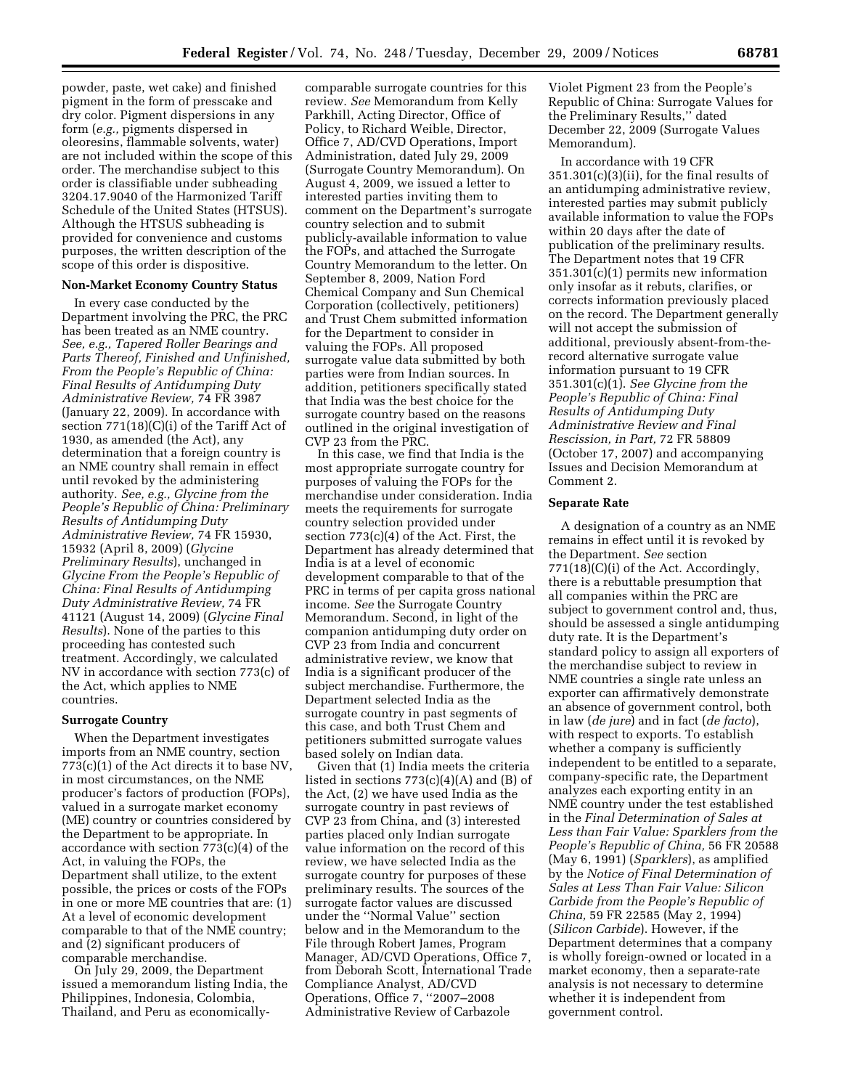powder, paste, wet cake) and finished pigment in the form of presscake and dry color. Pigment dispersions in any form (*e.g.,* pigments dispersed in oleoresins, flammable solvents, water) are not included within the scope of this order. The merchandise subject to this order is classifiable under subheading 3204.17.9040 of the Harmonized Tariff Schedule of the United States (HTSUS). Although the HTSUS subheading is provided for convenience and customs purposes, the written description of the scope of this order is dispositive.

### **Non-Market Economy Country Status**

In every case conducted by the Department involving the PRC, the PRC has been treated as an NME country. *See, e.g., Tapered Roller Bearings and Parts Thereof, Finished and Unfinished, From the People's Republic of China: Final Results of Antidumping Duty Administrative Review,* 74 FR 3987 (January 22, 2009). In accordance with section 771(18)(C)(i) of the Tariff Act of 1930, as amended (the Act), any determination that a foreign country is an NME country shall remain in effect until revoked by the administering authority. *See, e.g., Glycine from the People's Republic of China: Preliminary Results of Antidumping Duty Administrative Review,* 74 FR 15930, 15932 (April 8, 2009) (*Glycine Preliminary Results*), unchanged in *Glycine From the People's Republic of China: Final Results of Antidumping Duty Administrative Review,* 74 FR 41121 (August 14, 2009) (*Glycine Final Results*). None of the parties to this proceeding has contested such treatment. Accordingly, we calculated NV in accordance with section 773(c) of the Act, which applies to NME countries.

#### **Surrogate Country**

When the Department investigates imports from an NME country, section 773(c)(1) of the Act directs it to base NV, in most circumstances, on the NME producer's factors of production (FOPs), valued in a surrogate market economy (ME) country or countries considered by the Department to be appropriate. In accordance with section 773(c)(4) of the Act, in valuing the FOPs, the Department shall utilize, to the extent possible, the prices or costs of the FOPs in one or more ME countries that are: (1) At a level of economic development comparable to that of the NME country; and (2) significant producers of comparable merchandise.

On July 29, 2009, the Department issued a memorandum listing India, the Philippines, Indonesia, Colombia, Thailand, and Peru as economically-

comparable surrogate countries for this review. *See* Memorandum from Kelly Parkhill, Acting Director, Office of Policy, to Richard Weible, Director, Office 7, AD/CVD Operations, Import Administration, dated July 29, 2009 (Surrogate Country Memorandum). On August 4, 2009, we issued a letter to interested parties inviting them to comment on the Department's surrogate country selection and to submit publicly-available information to value the FOPs, and attached the Surrogate Country Memorandum to the letter. On September 8, 2009, Nation Ford Chemical Company and Sun Chemical Corporation (collectively, petitioners) and Trust Chem submitted information for the Department to consider in valuing the FOPs. All proposed surrogate value data submitted by both parties were from Indian sources. In addition, petitioners specifically stated that India was the best choice for the surrogate country based on the reasons outlined in the original investigation of CVP 23 from the PRC.

In this case, we find that India is the most appropriate surrogate country for purposes of valuing the FOPs for the merchandise under consideration. India meets the requirements for surrogate country selection provided under section 773(c)(4) of the Act. First, the Department has already determined that India is at a level of economic development comparable to that of the PRC in terms of per capita gross national income. *See* the Surrogate Country Memorandum. Second, in light of the companion antidumping duty order on CVP 23 from India and concurrent administrative review, we know that India is a significant producer of the subject merchandise. Furthermore, the Department selected India as the surrogate country in past segments of this case, and both Trust Chem and petitioners submitted surrogate values based solely on Indian data.

Given that (1) India meets the criteria listed in sections  $773(c)(4)(A)$  and  $(B)$  of the Act, (2) we have used India as the surrogate country in past reviews of CVP 23 from China, and (3) interested parties placed only Indian surrogate value information on the record of this review, we have selected India as the surrogate country for purposes of these preliminary results. The sources of the surrogate factor values are discussed under the ''Normal Value'' section below and in the Memorandum to the File through Robert James, Program Manager, AD/CVD Operations, Office 7, from Deborah Scott, International Trade Compliance Analyst, AD/CVD Operations, Office 7, ''2007–2008 Administrative Review of Carbazole

Violet Pigment 23 from the People's Republic of China: Surrogate Values for the Preliminary Results,'' dated December 22, 2009 (Surrogate Values Memorandum).

In accordance with 19 CFR  $351.301(c)(3)(ii)$ , for the final results of an antidumping administrative review, interested parties may submit publicly available information to value the FOPs within 20 days after the date of publication of the preliminary results. The Department notes that 19 CFR 351.301(c)(1) permits new information only insofar as it rebuts, clarifies, or corrects information previously placed on the record. The Department generally will not accept the submission of additional, previously absent-from-therecord alternative surrogate value information pursuant to 19 CFR 351.301(c)(1). *See Glycine from the People's Republic of China: Final Results of Antidumping Duty Administrative Review and Final Rescission, in Part,* 72 FR 58809 (October 17, 2007) and accompanying Issues and Decision Memorandum at Comment 2.

### **Separate Rate**

A designation of a country as an NME remains in effect until it is revoked by the Department. *See* section 771(18)(C)(i) of the Act. Accordingly, there is a rebuttable presumption that all companies within the PRC are subject to government control and, thus, should be assessed a single antidumping duty rate. It is the Department's standard policy to assign all exporters of the merchandise subject to review in NME countries a single rate unless an exporter can affirmatively demonstrate an absence of government control, both in law (*de jure*) and in fact (*de facto*), with respect to exports. To establish whether a company is sufficiently independent to be entitled to a separate, company-specific rate, the Department analyzes each exporting entity in an NME country under the test established in the *Final Determination of Sales at Less than Fair Value: Sparklers from the People's Republic of China,* 56 FR 20588 (May 6, 1991) (*Sparklers*), as amplified by the *Notice of Final Determination of Sales at Less Than Fair Value: Silicon Carbide from the People's Republic of China,* 59 FR 22585 (May 2, 1994) (*Silicon Carbide*). However, if the Department determines that a company is wholly foreign-owned or located in a market economy, then a separate-rate analysis is not necessary to determine whether it is independent from government control.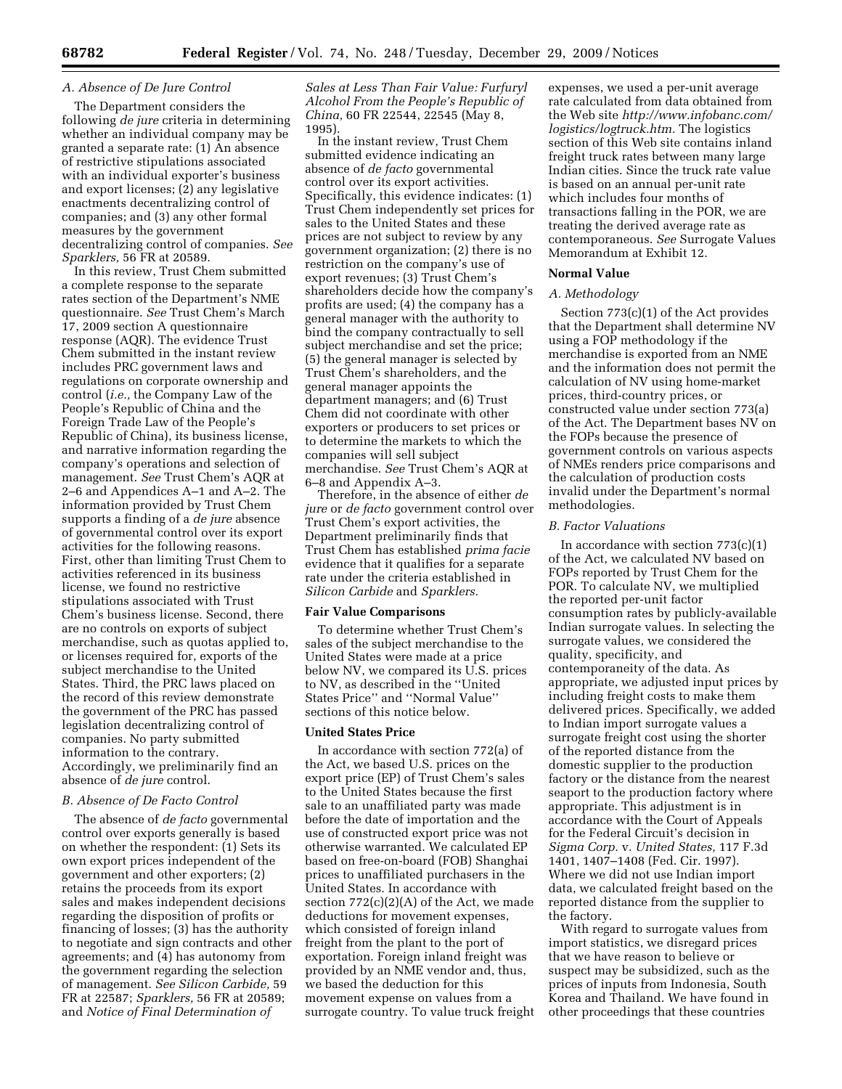## *A. Absence of De Jure Control*

The Department considers the following *de jure* criteria in determining whether an individual company may be granted a separate rate: (1) An absence of restrictive stipulations associated with an individual exporter's business and export licenses; (2) any legislative enactments decentralizing control of companies; and (3) any other formal measures by the government decentralizing control of companies. *See Sparklers,* 56 FR at 20589.

In this review, Trust Chem submitted a complete response to the separate rates section of the Department's NME questionnaire. *See* Trust Chem's March 17, 2009 section A questionnaire response (AQR). The evidence Trust Chem submitted in the instant review includes PRC government laws and regulations on corporate ownership and control (*i.e.,* the Company Law of the People's Republic of China and the Foreign Trade Law of the People's Republic of China), its business license, and narrative information regarding the company's operations and selection of management. *See* Trust Chem's AQR at 2–6 and Appendices A–1 and A–2. The information provided by Trust Chem supports a finding of a *de jure* absence of governmental control over its export activities for the following reasons. First, other than limiting Trust Chem to activities referenced in its business license, we found no restrictive stipulations associated with Trust Chem's business license. Second, there are no controls on exports of subject merchandise, such as quotas applied to, or licenses required for, exports of the subject merchandise to the United States. Third, the PRC laws placed on the record of this review demonstrate the government of the PRC has passed legislation decentralizing control of companies. No party submitted information to the contrary. Accordingly, we preliminarily find an absence of *de jure* control.

## *B. Absence of De Facto Control*

The absence of *de facto* governmental control over exports generally is based on whether the respondent: (1) Sets its own export prices independent of the government and other exporters; (2) retains the proceeds from its export sales and makes independent decisions regarding the disposition of profits or financing of losses; (3) has the authority to negotiate and sign contracts and other agreements; and (4) has autonomy from the government regarding the selection of management. *See Silicon Carbide,* 59 FR at 22587; *Sparklers,* 56 FR at 20589; and *Notice of Final Determination of* 

*Sales at Less Than Fair Value: Furfuryl Alcohol From the People's Republic of China,* 60 FR 22544, 22545 (May 8, 1995).

In the instant review, Trust Chem submitted evidence indicating an absence of *de facto* governmental control over its export activities. Specifically, this evidence indicates: (1) Trust Chem independently set prices for sales to the United States and these prices are not subject to review by any government organization; (2) there is no restriction on the company's use of export revenues; (3) Trust Chem's shareholders decide how the company's profits are used; (4) the company has a general manager with the authority to bind the company contractually to sell subject merchandise and set the price; (5) the general manager is selected by Trust Chem's shareholders, and the general manager appoints the department managers; and (6) Trust Chem did not coordinate with other exporters or producers to set prices or to determine the markets to which the companies will sell subject merchandise. *See* Trust Chem's AQR at 6–8 and Appendix A–3.

Therefore, in the absence of either *de jure* or *de facto* government control over Trust Chem's export activities, the Department preliminarily finds that Trust Chem has established *prima facie*  evidence that it qualifies for a separate rate under the criteria established in *Silicon Carbide* and *Sparklers.* 

#### **Fair Value Comparisons**

To determine whether Trust Chem's sales of the subject merchandise to the United States were made at a price below NV, we compared its U.S. prices to NV, as described in the ''United States Price'' and ''Normal Value'' sections of this notice below.

#### **United States Price**

In accordance with section 772(a) of the Act, we based U.S. prices on the export price (EP) of Trust Chem's sales to the United States because the first sale to an unaffiliated party was made before the date of importation and the use of constructed export price was not otherwise warranted. We calculated EP based on free-on-board (FOB) Shanghai prices to unaffiliated purchasers in the United States. In accordance with section 772(c)(2)(A) of the Act, we made deductions for movement expenses, which consisted of foreign inland freight from the plant to the port of exportation. Foreign inland freight was provided by an NME vendor and, thus, we based the deduction for this movement expense on values from a surrogate country. To value truck freight

expenses, we used a per-unit average rate calculated from data obtained from the Web site *http://www.infobanc.com/ logistics/logtruck.htm.* The logistics section of this Web site contains inland freight truck rates between many large Indian cities. Since the truck rate value is based on an annual per-unit rate which includes four months of transactions falling in the POR, we are treating the derived average rate as contemporaneous. *See* Surrogate Values Memorandum at Exhibit 12.

#### **Normal Value**

#### *A. Methodology*

Section 773(c)(1) of the Act provides that the Department shall determine NV using a FOP methodology if the merchandise is exported from an NME and the information does not permit the calculation of NV using home-market prices, third-country prices, or constructed value under section 773(a) of the Act. The Department bases NV on the FOPs because the presence of government controls on various aspects of NMEs renders price comparisons and the calculation of production costs invalid under the Department's normal methodologies.

#### *B. Factor Valuations*

In accordance with section  $773(c)(1)$ of the Act, we calculated NV based on FOPs reported by Trust Chem for the POR. To calculate NV, we multiplied the reported per-unit factor consumption rates by publicly-available Indian surrogate values. In selecting the surrogate values, we considered the quality, specificity, and contemporaneity of the data. As appropriate, we adjusted input prices by including freight costs to make them delivered prices. Specifically, we added to Indian import surrogate values a surrogate freight cost using the shorter of the reported distance from the domestic supplier to the production factory or the distance from the nearest seaport to the production factory where appropriate. This adjustment is in accordance with the Court of Appeals for the Federal Circuit's decision in *Sigma Corp.* v. *United States,* 117 F.3d 1401, 1407–1408 (Fed. Cir. 1997). Where we did not use Indian import data, we calculated freight based on the reported distance from the supplier to the factory.

With regard to surrogate values from import statistics, we disregard prices that we have reason to believe or suspect may be subsidized, such as the prices of inputs from Indonesia, South Korea and Thailand. We have found in other proceedings that these countries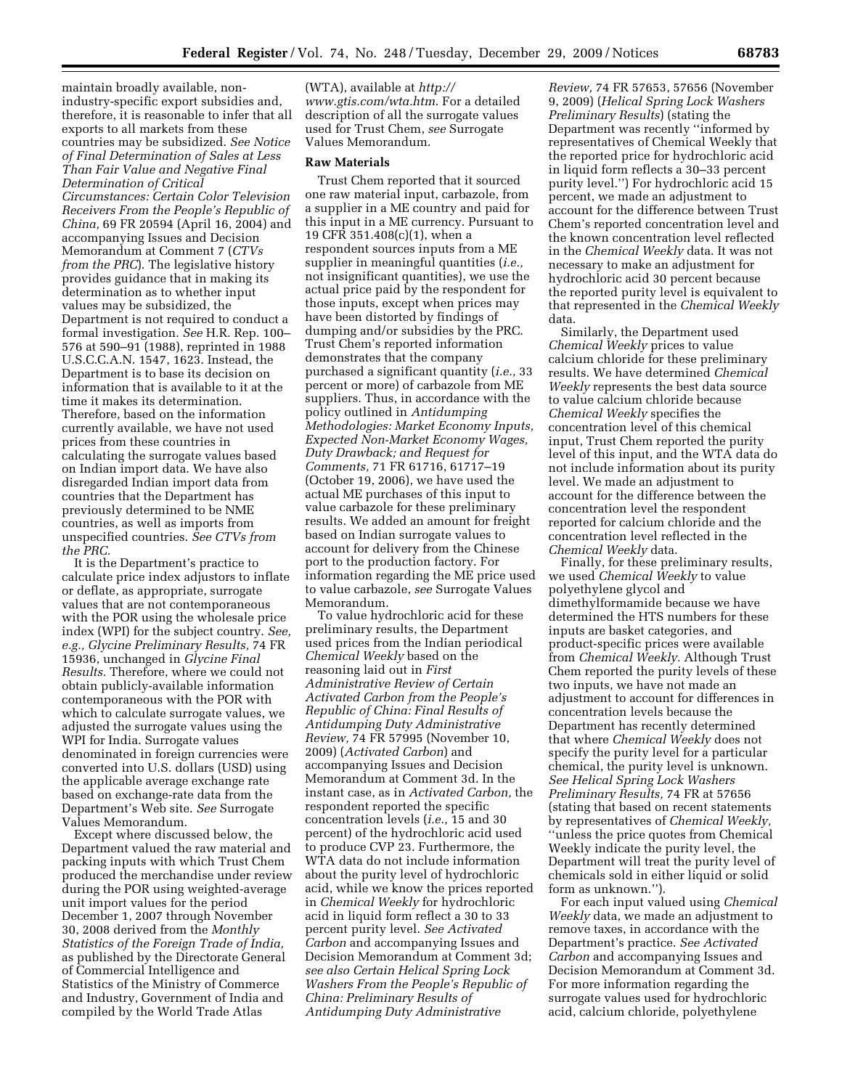maintain broadly available, nonindustry-specific export subsidies and, therefore, it is reasonable to infer that all exports to all markets from these countries may be subsidized. *See Notice of Final Determination of Sales at Less Than Fair Value and Negative Final Determination of Critical Circumstances: Certain Color Television Receivers From the People's Republic of China,* 69 FR 20594 (April 16, 2004) and accompanying Issues and Decision Memorandum at Comment 7 (*CTVs from the PRC*). The legislative history provides guidance that in making its determination as to whether input values may be subsidized, the Department is not required to conduct a formal investigation. *See* H.R. Rep. 100– 576 at 590–91 (1988), reprinted in 1988 U.S.C.C.A.N. 1547, 1623. Instead, the Department is to base its decision on information that is available to it at the time it makes its determination. Therefore, based on the information currently available, we have not used prices from these countries in calculating the surrogate values based on Indian import data. We have also disregarded Indian import data from countries that the Department has previously determined to be NME countries, as well as imports from unspecified countries. *See CTVs from the PRC.* 

It is the Department's practice to calculate price index adjustors to inflate or deflate, as appropriate, surrogate values that are not contemporaneous with the POR using the wholesale price index (WPI) for the subject country. *See, e.g., Glycine Preliminary Results,* 74 FR 15936, unchanged in *Glycine Final Results.* Therefore, where we could not obtain publicly-available information contemporaneous with the POR with which to calculate surrogate values, we adjusted the surrogate values using the WPI for India. Surrogate values denominated in foreign currencies were converted into U.S. dollars (USD) using the applicable average exchange rate based on exchange-rate data from the Department's Web site. *See* Surrogate Values Memorandum.

Except where discussed below, the Department valued the raw material and packing inputs with which Trust Chem produced the merchandise under review during the POR using weighted-average unit import values for the period December 1, 2007 through November 30, 2008 derived from the *Monthly Statistics of the Foreign Trade of India,*  as published by the Directorate General of Commercial Intelligence and Statistics of the Ministry of Commerce and Industry, Government of India and compiled by the World Trade Atlas

(WTA), available at *http:// www.gtis.com/wta.htm*. For a detailed description of all the surrogate values used for Trust Chem, *see* Surrogate Values Memorandum.

## **Raw Materials**

Trust Chem reported that it sourced one raw material input, carbazole, from a supplier in a ME country and paid for this input in a ME currency. Pursuant to 19 CFR 351.408(c)(1), when a respondent sources inputs from a ME supplier in meaningful quantities (*i.e.,*  not insignificant quantities), we use the actual price paid by the respondent for those inputs, except when prices may have been distorted by findings of dumping and/or subsidies by the PRC. Trust Chem's reported information demonstrates that the company purchased a significant quantity (*i.e.,* 33 percent or more) of carbazole from ME suppliers. Thus, in accordance with the policy outlined in *Antidumping Methodologies: Market Economy Inputs, Expected Non-Market Economy Wages, Duty Drawback; and Request for Comments,* 71 FR 61716, 61717–19 (October 19, 2006), we have used the actual ME purchases of this input to value carbazole for these preliminary results. We added an amount for freight based on Indian surrogate values to account for delivery from the Chinese port to the production factory. For information regarding the ME price used to value carbazole, *see* Surrogate Values Memorandum.

To value hydrochloric acid for these preliminary results, the Department used prices from the Indian periodical *Chemical Weekly* based on the reasoning laid out in *First Administrative Review of Certain Activated Carbon from the People's Republic of China: Final Results of Antidumping Duty Administrative Review,* 74 FR 57995 (November 10, 2009) (*Activated Carbon*) and accompanying Issues and Decision Memorandum at Comment 3d. In the instant case, as in *Activated Carbon,* the respondent reported the specific concentration levels (*i.e.,* 15 and 30 percent) of the hydrochloric acid used to produce CVP 23. Furthermore, the WTA data do not include information about the purity level of hydrochloric acid, while we know the prices reported in *Chemical Weekly* for hydrochloric acid in liquid form reflect a 30 to 33 percent purity level. *See Activated Carbon* and accompanying Issues and Decision Memorandum at Comment 3d; *see also Certain Helical Spring Lock Washers From the People's Republic of China: Preliminary Results of Antidumping Duty Administrative* 

*Review,* 74 FR 57653, 57656 (November 9, 2009) (*Helical Spring Lock Washers Preliminary Results*) (stating the Department was recently ''informed by representatives of Chemical Weekly that the reported price for hydrochloric acid in liquid form reflects a 30–33 percent purity level.'') For hydrochloric acid 15 percent, we made an adjustment to account for the difference between Trust Chem's reported concentration level and the known concentration level reflected in the *Chemical Weekly* data. It was not necessary to make an adjustment for hydrochloric acid 30 percent because the reported purity level is equivalent to that represented in the *Chemical Weekly*  data.

Similarly, the Department used *Chemical Weekly* prices to value calcium chloride for these preliminary results. We have determined *Chemical Weekly* represents the best data source to value calcium chloride because *Chemical Weekly* specifies the concentration level of this chemical input, Trust Chem reported the purity level of this input, and the WTA data do not include information about its purity level. We made an adjustment to account for the difference between the concentration level the respondent reported for calcium chloride and the concentration level reflected in the *Chemical Weekly* data.

Finally, for these preliminary results, we used *Chemical Weekly* to value polyethylene glycol and dimethylformamide because we have determined the HTS numbers for these inputs are basket categories, and product-specific prices were available from *Chemical Weekly.* Although Trust Chem reported the purity levels of these two inputs, we have not made an adjustment to account for differences in concentration levels because the Department has recently determined that where *Chemical Weekly* does not specify the purity level for a particular chemical, the purity level is unknown. *See Helical Spring Lock Washers Preliminary Results,* 74 FR at 57656 (stating that based on recent statements by representatives of *Chemical Weekly,*  ''unless the price quotes from Chemical Weekly indicate the purity level, the Department will treat the purity level of chemicals sold in either liquid or solid form as unknown.'').

For each input valued using *Chemical Weekly* data, we made an adjustment to remove taxes, in accordance with the Department's practice. *See Activated Carbon* and accompanying Issues and Decision Memorandum at Comment 3d. For more information regarding the surrogate values used for hydrochloric acid, calcium chloride, polyethylene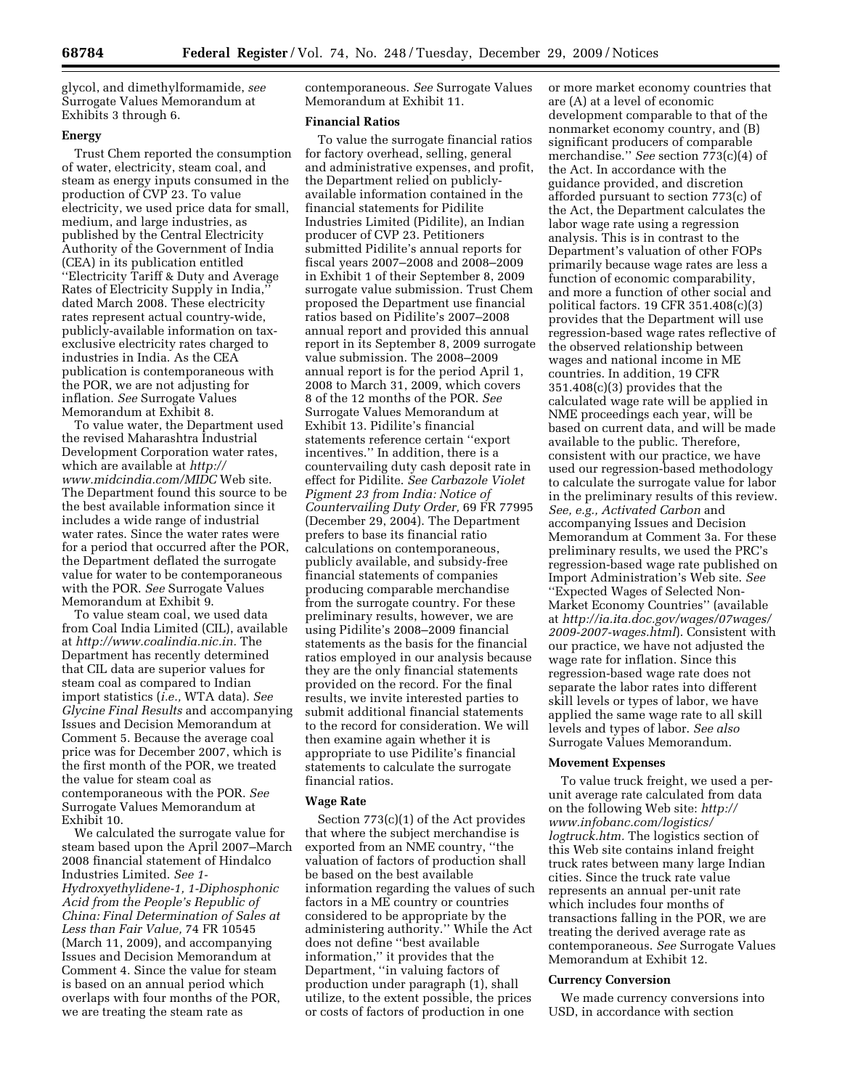glycol, and dimethylformamide, *see*  Surrogate Values Memorandum at Exhibits 3 through 6.

### **Energy**

Trust Chem reported the consumption of water, electricity, steam coal, and steam as energy inputs consumed in the production of CVP 23. To value electricity, we used price data for small, medium, and large industries, as published by the Central Electricity Authority of the Government of India (CEA) in its publication entitled ''Electricity Tariff & Duty and Average Rates of Electricity Supply in India,'' dated March 2008. These electricity rates represent actual country-wide, publicly-available information on taxexclusive electricity rates charged to industries in India. As the CEA publication is contemporaneous with the POR, we are not adjusting for inflation. *See* Surrogate Values Memorandum at Exhibit 8.

To value water, the Department used the revised Maharashtra Industrial Development Corporation water rates, which are available at *http:// www.midcindia.com/MIDC* Web site. The Department found this source to be the best available information since it includes a wide range of industrial water rates. Since the water rates were for a period that occurred after the POR, the Department deflated the surrogate value for water to be contemporaneous with the POR. *See* Surrogate Values Memorandum at Exhibit 9.

To value steam coal, we used data from Coal India Limited (CIL), available at *http://www.coalindia.nic.in.* The Department has recently determined that CIL data are superior values for steam coal as compared to Indian import statistics (*i.e.,* WTA data). *See Glycine Final Results* and accompanying Issues and Decision Memorandum at Comment 5. Because the average coal price was for December 2007, which is the first month of the POR, we treated the value for steam coal as contemporaneous with the POR. *See*  Surrogate Values Memorandum at Exhibit 10.

We calculated the surrogate value for steam based upon the April 2007–March 2008 financial statement of Hindalco Industries Limited. *See 1- Hydroxyethylidene-1, 1-Diphosphonic Acid from the People's Republic of China: Final Determination of Sales at Less than Fair Value,* 74 FR 10545 (March 11, 2009), and accompanying Issues and Decision Memorandum at Comment 4. Since the value for steam is based on an annual period which overlaps with four months of the POR, we are treating the steam rate as

contemporaneous. *See* Surrogate Values Memorandum at Exhibit 11.

## **Financial Ratios**

To value the surrogate financial ratios for factory overhead, selling, general and administrative expenses, and profit, the Department relied on publiclyavailable information contained in the financial statements for Pidilite Industries Limited (Pidilite), an Indian producer of CVP 23. Petitioners submitted Pidilite's annual reports for fiscal years 2007–2008 and 2008–2009 in Exhibit 1 of their September 8, 2009 surrogate value submission. Trust Chem proposed the Department use financial ratios based on Pidilite's 2007–2008 annual report and provided this annual report in its September 8, 2009 surrogate value submission. The 2008–2009 annual report is for the period April 1, 2008 to March 31, 2009, which covers 8 of the 12 months of the POR. *See*  Surrogate Values Memorandum at Exhibit 13. Pidilite's financial statements reference certain ''export incentives.'' In addition, there is a countervailing duty cash deposit rate in effect for Pidilite. *See Carbazole Violet Pigment 23 from India: Notice of Countervailing Duty Order,* 69 FR 77995 (December 29, 2004). The Department prefers to base its financial ratio calculations on contemporaneous, publicly available, and subsidy-free financial statements of companies producing comparable merchandise from the surrogate country. For these preliminary results, however, we are using Pidilite's 2008–2009 financial statements as the basis for the financial ratios employed in our analysis because they are the only financial statements provided on the record. For the final results, we invite interested parties to submit additional financial statements to the record for consideration. We will then examine again whether it is appropriate to use Pidilite's financial statements to calculate the surrogate financial ratios.

### **Wage Rate**

Section 773(c)(1) of the Act provides that where the subject merchandise is exported from an NME country, ''the valuation of factors of production shall be based on the best available information regarding the values of such factors in a ME country or countries considered to be appropriate by the administering authority.'' While the Act does not define ''best available information,'' it provides that the Department, ''in valuing factors of production under paragraph (1), shall utilize, to the extent possible, the prices or costs of factors of production in one

or more market economy countries that are (A) at a level of economic development comparable to that of the nonmarket economy country, and (B) significant producers of comparable merchandise.'' *See* section 773(c)(4) of the Act. In accordance with the guidance provided, and discretion afforded pursuant to section 773(c) of the Act, the Department calculates the labor wage rate using a regression analysis. This is in contrast to the Department's valuation of other FOPs primarily because wage rates are less a function of economic comparability, and more a function of other social and political factors. 19 CFR 351.408(c)(3) provides that the Department will use regression-based wage rates reflective of the observed relationship between wages and national income in ME countries. In addition, 19 CFR 351.408(c)(3) provides that the calculated wage rate will be applied in NME proceedings each year, will be based on current data, and will be made available to the public. Therefore, consistent with our practice, we have used our regression-based methodology to calculate the surrogate value for labor in the preliminary results of this review. *See, e.g., Activated Carbon* and accompanying Issues and Decision Memorandum at Comment 3a. For these preliminary results, we used the PRC's regression-based wage rate published on Import Administration's Web site. *See*  ''Expected Wages of Selected Non-Market Economy Countries'' (available at *http://ia.ita.doc.gov/wages/07wages/ 2009-2007-wages.html*). Consistent with our practice, we have not adjusted the wage rate for inflation. Since this regression-based wage rate does not separate the labor rates into different skill levels or types of labor, we have applied the same wage rate to all skill levels and types of labor. *See also*  Surrogate Values Memorandum.

### **Movement Expenses**

To value truck freight, we used a perunit average rate calculated from data on the following Web site: *http:// www.infobanc.com/logistics/ logtruck.htm.* The logistics section of this Web site contains inland freight truck rates between many large Indian cities. Since the truck rate value represents an annual per-unit rate which includes four months of transactions falling in the POR, we are treating the derived average rate as contemporaneous. *See* Surrogate Values Memorandum at Exhibit 12.

### **Currency Conversion**

We made currency conversions into USD, in accordance with section